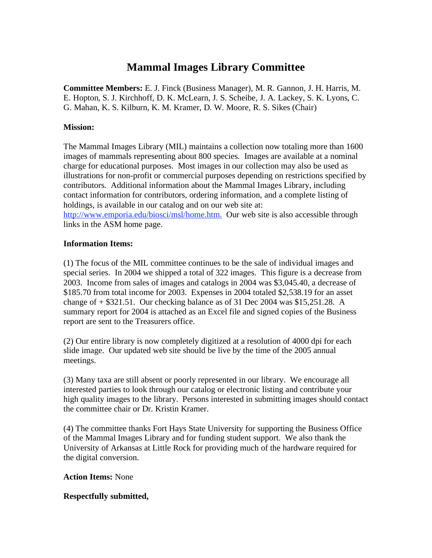# **Mammal Images Library Committee**

**Committee Members:** E. J. Finck (Business Manager), M. R. Gannon, J. H. Harris, M. E. Hopton, S. J. Kirchhoff, D. K. McLearn, J. S. Scheibe, J. A. Lackey, S. K. Lyons, C. G. Mahan, K. S. Kilburn, K. M. Kramer, D. W. Moore, R. S. Sikes (Chair)

### **Mission:**

The Mammal Images Library (MIL) maintains a collection now totaling more than 1600 images of mammals representing about 800 species. Images are available at a nominal charge for educational purposes. Most images in our collection may also be used as illustrations for non-profit or commercial purposes depending on restrictions specified by contributors. Additional information about the Mammal Images Library, including contact information for contributors, ordering information, and a complete listing of holdings, is available in our catalog and on our web site at: http://www.emporia.edu/biosci/msl/home.htm. Our web site is also accessible through

links in the ASM home page.

#### **Information Items:**

(1) The focus of the MIL committee continues to be the sale of individual images and special series. In 2004 we shipped a total of 322 images. This figure is a decrease from 2003. Income from sales of images and catalogs in 2004 was \$3,045.40, a decrease of \$185.70 from total income for 2003. Expenses in 2004 totaled \$2,538.19 for an asset change of + \$321.51. Our checking balance as of 31 Dec 2004 was \$15,251.28. A summary report for 2004 is attached as an Excel file and signed copies of the Business report are sent to the Treasurers office.

(2) Our entire library is now completely digitized at a resolution of 4000 dpi for each slide image. Our updated web site should be live by the time of the 2005 annual meetings.

(3) Many taxa are still absent or poorly represented in our library. We encourage all interested parties to look through our catalog or electronic listing and contribute your high quality images to the library. Persons interested in submitting images should contact the committee chair or Dr. Kristin Kramer.

(4) The committee thanks Fort Hays State University for supporting the Business Office of the Mammal Images Library and for funding student support. We also thank the University of Arkansas at Little Rock for providing much of the hardware required for the digital conversion.

## **Action Items:** None

## **Respectfully submitted,**